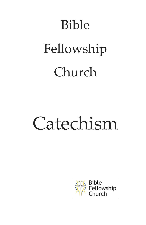# Bible Fellowship Church

# Catechism

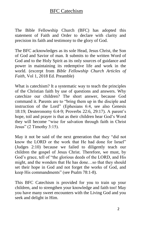The Bible Fellowship Church (BFC) has adopted this statement of Faith and Order to declare with clarity and precision its faith and testimony to the glory of God.

The BFC acknowledges as its sole Head, Jesus Christ, the Son of God and Savior of man. It submits to the written Word of God and to the Holy Spirit as its only sources of guidance and power in maintaining its redemptive life and work in the world. (excerpt from *Bible Fellowship Church Articles of Faith*, Vol 1, 2018 Ed. Preamble)

What is catechism? It a systematic way to teach the principles of the Christian faith by use of questions and answers. Why catechize our children? The short answer, because God command it. Parents are to "bring them up in the disciple and instruction of the Lord" (Ephesians 6:4, see also Genesis 18:19; Deuteronomy 6:4-9; Proverbs 22:6, 29:17). A parent's hope, toil and prayer is that as their children hear God's Word they will become "wise for salvation through faith in Christ Jesus" (2 Timothy 3:15).

May it not be said of the next generation that they "did not know the LORD or the work that He had done for Israel" (Judges 2:10) because we failed to diligently teach our children the gospel of Jesus Christ. Therefore, we must, by God's grace, tell of "the glorious deeds of the LORD, and His might, and the wonders that He has done…so that they should set their hope in God and not forget the works of God, and keep His commandments" (see Psalm 78:1-8).

This BFC Catechism is provided for you to train up your children, and to strengthen your knowledge and faith too! May you have many sweet encounters with the Living God and you seek and delight in Him.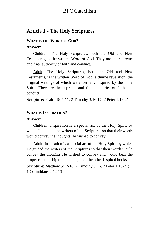# **Article 1 - The Holy Scriptures**

#### **WHAT IS THE WORD OF GOD?**

#### **Answer:**

Children: The Holy Scriptures, both the Old and New Testaments, is the written Word of God. They are the supreme and final authority of faith and conduct.

Adult: The Holy Scriptures, both the Old and New Testaments, is the written Word of God, a divine revelation, the original writings of which were verbally inspired by the Holy Spirit. They are the supreme and final authority of faith and conduct.

**Scripture:** Psalm 19:7-11; 2 Timothy 3:16-17; 2 Peter 1:19-21

#### **WHAT IS INSPIRATION?**

#### **Answer:**

Children: Inspiration is a special act of the Holy Spirit by which He guided the writers of the Scriptures so that their words would convey the thoughts He wished to convey.

Adult: Inspiration is a special act of the Holy Spirit by which He guided the writers of the Scriptures so that their words would convey the thoughts He wished to convey and would bear the proper relationship to the thoughts of the other inspired books.

**Scripture:** Matthew 5:17-18; 2 Timothy 3:16; 2 Peter 1:16-21; 1 Corinthians 2:12-13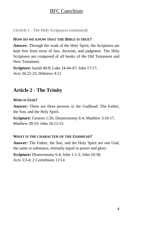**(Article 1 - The Holy Scriptures continued)**

## **HOW DO WE KNOW THAT THE BIBLE IS TRUE?**

**Answer:** Through the work of the Holy Spirit, the Scriptures are kept free from error of fact, doctrine, and judgment. The Holy Scriptures are composed of all books of the Old Testament and New Testament.

**Scripture:** Isaiah 40:8; Luke 24:44-47; John 17:17; Acts 26:22-23; Hebrews 4:12

# **Article 2 - The Trinity**

## **WHO IS GOD?**

**Answer:** There are three persons in the Godhead: The Father, the Son, and the Holy Spirit.

**Scripture:** Genesis 1:26; Deuteronomy 6:4; Matthew 3:16-17, Matthew 28:19; John 16:12-15

## **WHAT IS THE CHARACTER OF THE GODHEAD?**

**Answer:** The Father, the Son, and the Holy Spirit are one God, the same in substance, eternally equal in power and glory.

**Scripture:** Deuteronomy 6:4; John 1:1-3; John 10:30; Acts 5:3-4; 2 Corinthians 13:14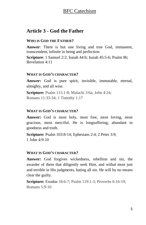# **Article 3 - God the Father**

## **WHO IS GOD THE FATHER?**

**Answer**: There is but one living and true God, immanent, transcendent, infinite in being and perfection.

**Scripture**: 1 Samuel 2:2; Isaiah 44:6; Isaiah 45:5-6; Psalm 96; Revelation 4:11

### **WHAT IS GOD'S CHARACTER?**

**Answer:** God is pure spirit, invisible, immutable, eternal, almighty, and all wise.

**Scripture:** Psalm 115:1-8; Malachi 3:6a; John 4:24; Romans 11:33-34; 1 Timothy 1:17

## **WHAT IS GOD'S CHARACTER?**

Answer: God is most holy, most free, most loving, most gracious, most merciful. He is longsuffering, abundant in goodness and truth.

**Scripture:** Psalm 103:8-14; Ephesians 2:4; 2 Peter 3:9; 1 John 4:9-10

#### **WHAT IS GOD'S CHARACTER?**

**Answer:** God forgives wickedness, rebellion and sin, the awarder of them that diligently seek Him, and withal most just and terrible in His judgments, hating all sin. He will by no means clear the guilty.

**Scripture:** Exodus 34:6-7; Psalm 119:1-3; Proverbs 6:16-19; Romans 5:9-10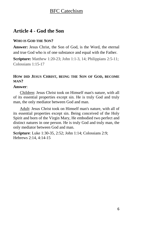# **Article 4 - God the Son**

## **WHO IS GOD THE SON?**

**Answer:** Jesus Christ, the Son of God, is the Word, the eternal and true God who is of one substance and equal with the Father.

**Scripture:** Matthew 1:20-23; John 1:1-3, 14; Philippians 2:5-11; Colossians 1:15-17

## **HOW DID JESUS CHRIST, BEING THE SON OF GOD, BECOME MAN?**

## **Answer**:

Children: Jesus Christ took on Himself man's nature, with all of its essential properties except sin. He is truly God and truly man, the only mediator between God and man.

Adult: Jesus Christ took on Himself man's nature, with all of its essential properties except sin. Being conceived of the Holy Spirit and born of the Virgin Mary, He embodied two perfect and distinct natures in one person. He is truly God and truly man, the only mediator between God and man.

**Scripture**: Luke 1:30-35, 2:52; John 1:14; Colossians 2:9; Hebrews 2:14, 4:14-15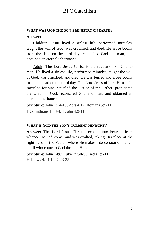# **WHAT WAS GOD THE SON'S MINISTRY ON EARTH?**

## **Answer:**

Children: Jesus lived a sinless life, performed miracles, taught the will of God, was crucified, and died. He arose bodily from the dead on the third day, reconciled God and man, and obtained an eternal inheritance.

Adult: The Lord Jesus Christ is the revelation of God to man. He lived a sinless life, performed miracles, taught the will of God, was crucified, and died. He was buried and arose bodily from the dead on the third day. The Lord Jesus offered Himself a sacrifice for sins, satisfied the justice of the Father, propitiated the wrath of God, reconciled God and man, and obtained an eternal inheritance.

**Scripture:** John 1:14-18; Acts 4:12; Romans 5:5-11;

1 Corinthians 15:3-4; 1 John 4:9-11

## **WHAT IS GOD THE SON'S CURRENT MINISTRY?**

**Answer:** The Lord Jesus Christ ascended into heaven, from whence He had come, and was exalted, taking His place at the right hand of the Father, where He makes intercession on behalf of all who come to God through Him.

**Scripture:** John 14:6; Luke 24:50-53; Acts 1:9-11; Hebrews 4:14-16, 7:23-25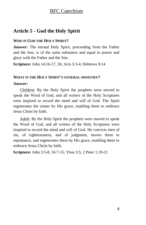# **Article 5 - God the Holy Spirit**

## **WHO IS GOD THE HOLY SPIRIT?**

**Answer:** The eternal Holy Spirit, proceeding from the Father and the Son, is of the same substance and equal in power and glory with the Father and the Son.

**Scripture:** John 14:16-17, 26; Acts 5:3-4; Hebrews 9:14

## **WHAT IS THE HOLY SPIRIT'S GENERAL MINISTRY?**

### **Answer:**

Children: By the Holy Spirit the prophets were moved to speak the Word of God, and all writers of the Holy Scriptures were inspired to record the mind and will of God. The Spirit regenerates the sinner by His grace, enabling them to embrace Jesus Christ by faith.

Adult: By the Holy Spirit the prophets were moved to speak the Word of God, and all writers of the Holy Scriptures were inspired to record the mind and will of God. He convicts men of sin, of righteousness, and of judgment, moves them to repentance, and regenerates them by His grace, enabling them to embrace Jesus Christ by faith.

**Scripture:** John 3:5-8, 16:7-15; Titus 3:5; 2 Peter 1:19-21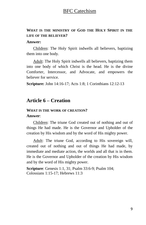## **WHAT IS THE MINISTRY OF GOD THE HOLY SPIRIT IN THE LIFE OF THE BELIEVER?**

#### **Answer:**

Children: The Holy Spirit indwells all believers, baptizing them into one body.

Adult: The Holy Spirit indwells all believers, baptizing them into one body of which Christ is the head. He is the divine Comforter, Intercessor, and Advocate, and empowers the believer for service.

**Scripture:** John 14:16-17; Acts 1:8; 1 Corinthians 12:12-13

# **Article 6 – Creation**

## **WHAT IS THE WORK OF CREATION? Answer**:

Children: The triune God created out of nothing and out of things He had made. He is the Governor and Upholder of the creation by His wisdom and by the word of His mighty power.

Adult: The triune God, according to His sovereign will, created out of nothing and out of things He had made, by immediate and mediate action, the worlds and all that is in them. He is the Governor and Upholder of the creation by His wisdom and by the word of His mighty power.

**Scripture**: Genesis 1:1, 31; Psalm 33:6-9; Psalm 104; Colossians 1:15-17; Hebrews 11:3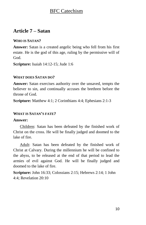# **Article 7 – Satan**

## **WHO IS SATAN?**

**Answer:** Satan is a created angelic being who fell from his first estate. He is the god of this age, ruling by the permissive will of God.

**Scripture:** Isaiah 14:12-15; Jude 1:6

## **WHAT DOES SATAN DO?**

**Answer:** Satan exercises authority over the unsaved, tempts the believer to sin, and continually accuses the brethren before the throne of God.

**Scripture:** Matthew 4:1; 2 Corinthians 4:4; Ephesians 2:1-3

## **WHAT IS SATAN'S FATE?**

## **Answer:**

Children: Satan has been defeated by the finished work of Christ on the cross. He will be finally judged and doomed to the lake of fire.

Adult: Satan has been defeated by the finished work of Christ at Calvary. During the millennium he will be confined to the abyss, to be released at the end of that period to lead the armies of evil against God. He will be finally judged and doomed to the lake of fire.

**Scripture:** John 16:33; Colossians 2:15; Hebrews 2:14; 1 John 4:4; Revelation 20:10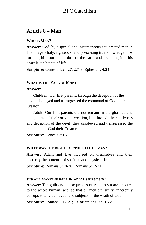# **Article 8 – Man**

## **WHO IS MAN?**

**Answer:** God, by a special and instantaneous act, created man in His image - holy, righteous, and possessing true knowledge – by forming him out of the dust of the earth and breathing into his nostrils the breath of life.

**Scripture:** Genesis 1:26-27, 2:7-8; Ephesians 4:24

### **WHAT IS THE FALL OF MAN?**

### **Answer:**

Children: Our first parents, through the deception of the devil, disobeyed and transgressed the command of God their Creator.

Adult: Our first parents did not remain in the glorious and happy state of their original creation, but through the subtleness and deception of the devil, they disobeyed and transgressed the command of God their Creator.

**Scripture:** Genesis 3:1-7

#### **WHAT WAS THE RESULT OF THE FALL OF MAN?**

**Answer:** Adam and Eve incurred on themselves and their posterity the sentence of spiritual and physical death.

**Scripture:** Romans 3:10-20; Romans 5:12-21

#### **DID ALL MANKIND FALL IN ADAM'S FIRST SIN?**

**Answer**: The guilt and consequences of Adam's sin are imputed to the whole human race, so that all men are guilty, inherently corrupt, totally depraved, and subjects of the wrath of God.

**Scripture**: Romans 5:12-21; 1 Corinthians 15:21-22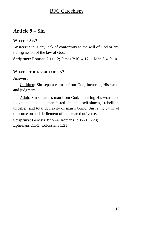# **Article 9 – Sin**

## **WHAT IS SIN?**

**Answer:** Sin is any lack of conformity to the will of God or any transgression of the law of God.

**Scripture:** Romans 7:11-12; James 2:10, 4:17; 1 John 3:4, 9-10

## **WHAT IS THE RESULT OF SIN?**

## **Answer:**

Children: Sin separates man from God, incurring His wrath and judgment.

Adult: Sin separates man from God, incurring His wrath and judgment, and is manifested in the selfishness, rebellion, unbelief, and total depravity of man's being. Sin is the cause of the curse on and defilement of the created universe.

**Scripture:** Genesis 3:23-24; Romans 1:18-21, 6:23; Ephesians 2:1-3; Colossians 1:21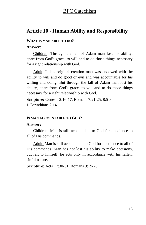## **Article 10 - Human Ability and Responsibility**

#### **WHAT IS MAN ABLE TO DO?**

## **Answer:**

Children: Through the fall of Adam man lost his ability, apart from God's grace, to will and to do those things necessary for a right relationship with God.

Adult: In his original creation man was endowed with the ability to will and do good or evil and was accountable for his willing and doing. But through the fall of Adam man lost his ability, apart from God's grace, to will and to do those things necessary for a right relationship with God.

**Scripture:** Genesis 2:16-17; Romans 7:21-25, 8:5-8; 1 Corinthians 2:14

#### **IS MAN ACCOUNTABLE TO GOD?**

#### **Answer:**

Children: Man is still accountable to God for obedience to all of His commands.

Adult: Man is still accountable to God for obedience to all of His commands. Man has not lost his ability to make decisions, but left to himself, he acts only in accordance with his fallen, sinful nature.

**Scripture:** Acts 17:30-31; Romans 3:19-20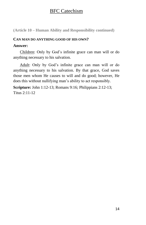**(Article 10 – Human Ability and Responsibility continued)**

#### **CAN MAN DO ANYTHING GOOD OF HIS OWN?**

#### **Answer:**

Children: Only by God's infinite grace can man will or do anything necessary to his salvation.

Adult: Only by God's infinite grace can man will or do anything necessary to his salvation. By that grace, God saves those men whom He causes to will and do good; however, He does this without nullifying man's ability to act responsibly.

**Scripture:** John 1:12-13; Romans 9:16; Philippians 2:12-13; Titus 2:11-12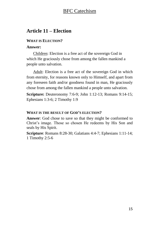# **Article 11 – Election**

## **WHAT IS ELECTION?**

## **Answer:**

Children: Election is a free act of the sovereign God in which He graciously chose from among the fallen mankind a people unto salvation.

Adult: Election is a free act of the sovereign God in which from eternity, for reasons known only to Himself, and apart from any foreseen faith and/or goodness found in man, He graciously chose from among the fallen mankind a people unto salvation.

**Scripture:** Deuteronomy 7:6-9; John 1:12-13; Romans 9:14-15; Ephesians 1:3-6; 2 Timothy 1:9

#### **WHAT IS THE RESULT OF GOD'S ELECTION?**

**Answer**: God chose to save so that they might be conformed to Christ's image. Those so chosen He redeems by His Son and seals by His Spirit.

**Scripture**: Romans 8:28-30; Galatians 4:4-7; Ephesians 1:11-14; 1 Timothy 2:5-6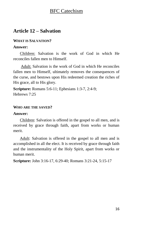# **Article 12 – Salvation**

## **WHAT IS SALVATION?**

## **Answer:**

Children: Salvation is the work of God in which He reconciles fallen men to Himself.

Adult: Salvation is the work of God in which He reconciles fallen men to Himself, ultimately removes the consequences of the curse, and bestows upon His redeemed creation the riches of His grace, all to His glory.

**Scripture:** Romans 5:6-11; Ephesians 1:3-7, 2:4-9; Hebrews 7:25

## **WHO ARE THE SAVED?**

## **Answer:**

Children: Salvation is offered in the gospel to all men, and is received by grace through faith, apart from works or human merit.

Adult: Salvation is offered in the gospel to all men and is accomplished in all the elect. It is received by grace through faith and the instrumentality of the Holy Spirit, apart from works or human merit.

**Scripture:** John 3:16-17, 6:29-40; Romans 3:21-24, 5:15-17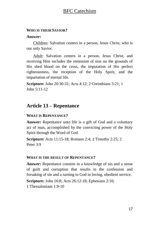#### **WHO IS THEIR SAVIOR?**

#### **Answer:**

Children: Salvation centers in a person, Jesus Christ, who is our only Savior.

Adult: Salvation centers in a person, Jesus Christ, and receiving Him includes the remission of sins on the grounds of His shed blood on the cross, the imputation of His perfect righteousness, the reception of the Holy Spirit, and the impartation of eternal life.

**Scripture:** John 20:30-31; Acts 4:12; 2 Corinthians 5:21; 1 John 5:11-12

# **Article 13 – Repentance**

#### **WHAT IS REPENTANCE?**

**Answer:** Repentance unto life is a gift of God and a voluntary act of man, accomplished by the convicting power of the Holy Spirit through the Word of God.

**Scripture:** Acts 11:15-18; Romans 2:4; 2 Timothy 2:25; 2 Peter 3:9

#### **WHAT IS THE RESULT OF REPENTANCE?**

**Answer:** Repentance consists in a knowledge of sin and a sense of guilt and corruption that results in the confession and forsaking of sin and a turning to God in loving, obedient service.

**Scripture:** John 16:8; Acts 26:12-18; Ephesians 2:10;

1 Thessalonians 1:9-10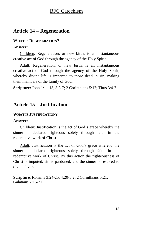# **Article 14 – Regeneration**

## **WHAT IS REGENERATION?**

### **Answer:**

Children: Regeneration, or new birth, is an instantaneous creative act of God through the agency of the Holy Spirit.

Adult: Regeneration, or new birth, is an instantaneous creative act of God through the agency of the Holy Spirit, whereby divine life is imparted to those dead in sin, making them members of the family of God.

**Scripture:** John 1:11-13, 3:3-7; 2 Corinthians 5:17; Titus 3:4-7

# **Article 15 – Justification**

## **WHAT IS JUSTIFICATION?**

## **Answer:**

Children: Justification is the act of God's grace whereby the sinner is declared righteous solely through faith in the redemptive work of Christ.

Adult: Justification is the act of God's grace whereby the sinner is declared righteous solely through faith in the redemptive work of Christ. By this action the righteousness of Christ is imputed, sin is pardoned, and the sinner is restored to divine favor.

**Scripture**: Romans 3:24-25, 4:20-5:2; 2 Corinthians 5:21; Galatians 2:15-21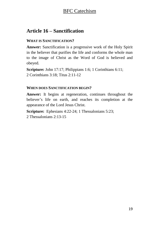# **Article 16 – Sanctification**

## **WHAT IS SANCTIFICATION?**

**Answer:** Sanctification is a progressive work of the Holy Spirit in the believer that purifies the life and conforms the whole man to the image of Christ as the Word of God is believed and obeyed.

**Scripture:** John 17:17; Philippians 1:6; 1 Corinthians 6:11; 2 Corinthians 3:18; Titus 2:11-12

## **WHEN DOES SANCTIFICATION BEGIN?**

**Answer:** It begins at regeneration, continues throughout the believer's life on earth, and reaches its completion at the appearance of the Lord Jesus Christ.

**Scripture:** Ephesians 4:22-24; 1 Thessalonians 5:23; 2 Thessalonians 2:13-15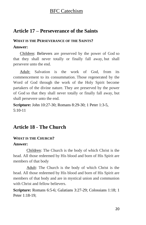# **Article 17 – Perseverance of the Saints**

## **WHAT IS THE PERSEVERANCE OF THE SAINTS?**

## **Answer:**

Children: Believers are preserved by the power of God so that they shall never totally or finally fall away, but shall persevere unto the end.

Adult: Salvation is the work of God, from its commencement to its consummation. Those regenerated by the Word of God through the work of the Holy Spirit become partakers of the divine nature. They are preserved by the power of God so that they shall never totally or finally fall away, but shall persevere unto the end.

**Scripture:** John 10:27-30; Romans 8:29-30; 1 Peter 1:3-5,  $5:10-11$ 

# **Article 18 - The Church**

## **WHAT IS THE CHURCH?**

## **Answer:**

Children: The Church is the body of which Christ is the head. All those redeemed by His blood and born of His Spirit are members of that body

Adult: The Church is the body of which Christ is the head. All those redeemed by His blood and born of His Spirit are members of that body and are in mystical union and communion with Christ and fellow believers.

**Scripture:** Romans 6:5-6; Galatians 3:27-29; Colossians 1:18; 1 Peter 1:18-19;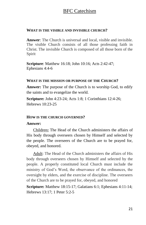#### **WHAT IS THE VISIBLE AND INVISIBLE CHURCH?**

**Answer**: The Church is universal and local, visible and invisible. The visible Church consists of all those professing faith in Christ. The invisible Church is composed of all those born of the Spirit

**Scripture**: Matthew 16:18; John 10:16; Acts 2:42-47; Ephesians 4:4-6

#### **WHAT IS THE MISSION OR PURPOSE OF THE CHURCH?**

**Answer:** The purpose of the Church is to worship God, to edify the saints and to evangelize the world.

**Scripture:** John 4:23-24; Acts 1:8; 1 Corinthians 12:4-26; Hebrews  $10:23-25$ 

#### **HOW IS THE CHURCH GOVERNED?**

#### **Answer:**

Children**:** The Head of the Church administers the affairs of His body through overseers chosen by Himself and selected by the people. The overseers of the Church are to be prayed for, obeyed, and honored.

Adult: The Head of the Church administers the affairs of His body through overseers chosen by Himself and selected by the people. A properly constituted local Church must include the ministry of God's Word, the observance of the ordinances, the oversight by elders, and the exercise of discipline. The overseers of the Church are to be prayed for, obeyed, and honored

**Scripture:** Matthew 18:15-17; Galatians 6:1; Ephesians 4:11-14; Hebrews 13:17; 1 Peter 5:2-5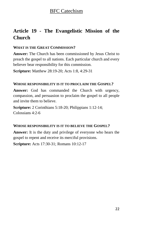# **Article 19 - The Evangelistic Mission of the Church**

## **WHAT IS THE GREAT COMMISSION?**

**Answer:** The Church has been commissioned by Jesus Christ to preach the gospel to all nations. Each particular church and every believer bear responsibility for this commission.

**Scripture:** Matthew 28:19-20; Acts 1:8, 4:29-31

## **WHOSE RESPONSIBILITY IS IT TO PROCLAIM THE GOSPEL?**

**Answer:** God has commanded the Church with urgency, compassion, and persuasion to proclaim the gospel to all people and invite them to believe.

**Scripture:** 2 Corinthians 5:18-20; Philippians 1:12-14; Colossians 4:2-6

## **WHOSE RESPONSIBILITY IS IT TO BELIEVE THE GOSPEL?**

**Answer:** It is the duty and privilege of everyone who hears the gospel to repent and receive its merciful provisions.

**Scripture:** Acts 17:30-31; Romans 10:12-17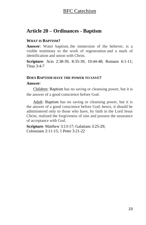# **Article 20 – Ordinances - Baptism**

## **WHAT IS BAPTISM?**

**Answer**: Water baptism, the immersion of the believer, is a visible testimony to the work of regeneration and a mark of identification and union with Christ.

**Scripture**: Acts 2:38-39, 8:35-39, 10:44-48; Romans 6:1-11; Titus  $3.4 - 7$ 

### **DOES BAPTISM HAVE THE POWER TO SAVE?**

### **Answer**:

Children: Baptism has no saving or cleansing power, but it is the answer of a good conscience before God.

Adult: Baptism has no saving or cleansing power, but it is the answer of a good conscience before God; hence, it should be administered only to those who have, by faith in the Lord Jesus Christ, realized the forgiveness of sins and possess the assurance of acceptance with God.

**Scripture**: Matthew 3:13-17; Galatians 3:25-29; Colossians 2:11-15; 1 Peter 3:21-22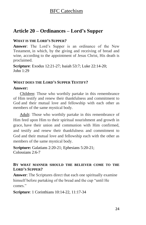# **Article 20 – Ordinances – Lord's Supper**

## **WHAT IS THE LORD'S SUPPER?**

**Answer**: The Lord's Supper is an ordinance of the New Testament, in which, by the giving and receiving of bread and wine, according to the appointment of Jesus Christ, His death is proclaimed.

**Scripture**: Exodus 12:21-27; Isaiah 53:7; Luke 22:14-20;  $Iohn 1:29$ 

## **WHAT DOES THE LORD'S SUPPER TESTIFY?**

## **Answer:**

Children: Those who worthily partake in this remembrance of Him testify and renew their thankfulness and commitment to God and their mutual love and fellowship with each other as members of the same mystical body.

Adult: Those who worthily partake in this remembrance of Him feed upon Him to their spiritual nourishment and growth in grace, have their union and communion with Him confirmed, and testify and renew their thankfulness and commitment to God and their mutual love and fellowship each with the other as members of the same mystical body.

**Scripture:** Galatians 2:20-21; Ephesians 5:20-21; Colossians 2:6-7

## **BY WHAT MANNER SHOULD THE BELIEVER COME TO THE LORD'S SUPPER?**

**Answer**: The Scriptures direct that each one spiritually examine himself before partaking of the bread and the cup "until He comes."

**Scripture**: 1 Corinthians 10:14-22, 11:17-34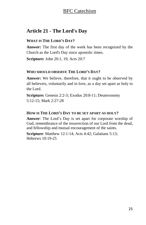# **Article 21 - The Lord's Day**

## **WHAT IS THE LORD'S DAY?**

**Answer:** The first day of the week has been recognized by the Church as the Lord's Day since apostolic times.

**Scripture:** John 20:1, 19; Acts 20:7

## **WHO SHOULD OBSERVE THE LORD'S DAY?**

**Answer:** We believe, therefore, that it ought to be observed by all believers, voluntarily and in love, as a day set apart as holy to the Lord.

**Scripture:** Genesis 2:2-3; Exodus 20:8-11; Deuteronomy 5:12-15; Mark 2:27-28

#### **HOW IS THE LORD'S DAY TO BE SET APART AS HOLY?**

**Answer**: The Lord's Day is set apart for corporate worship of God, remembrance of the resurrection of our Lord from the dead, and fellowship and mutual encouragement of the saints.

**Scripture**: Matthew 12:1-14; Acts 4:42; Galatians 5:13; Hebrews 10:19-25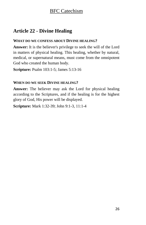# **Article 22 - Divine Healing**

## **WHAT DO WE CONFESS ABOUT DIVINE HEALING?**

**Answer:** It is the believer's privilege to seek the will of the Lord in matters of physical healing. This healing, whether by natural, medical, or supernatural means, must come from the omnipotent God who created the human body.

**Scripture:** Psalm 103:1-5; James 5:13-16

## **WHEN DO WE SEEK DIVINE HEALING?**

**Answer:** The believer may ask the Lord for physical healing according to the Scriptures, and if the healing is for the highest glory of God, His power will be displayed.

**Scripture:** Mark 1:32-39; John 9:1-3, 11:1-4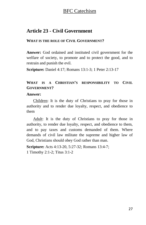# **Article 23 - Civil Government**

## **WHAT IS THE ROLE OF CIVIL GOVERNMENT?**

**Answer:** God ordained and instituted civil government for the welfare of society, to promote and to protect the good, and to restrain and punish the evil.

**Scripture:** Daniel 4:17; Romans 13:1-3; 1 Peter 2:13-17

# **WHAT IS A CHRISTIAN'S RESPONSIBILITY TO CIVIL GOVERNMENT?**

## **Answer:**

Children: It is the duty of Christians to pray for those in authority and to render due loyalty, respect, and obedience to them

Adult: It is the duty of Christians to pray for those in authority, to render due loyalty, respect, and obedience to them, and to pay taxes and customs demanded of them. Where demands of civil law militate the supreme and higher law of God, Christians should obey God rather than man.

**Scripture:** Acts 4:13-20, 5:27-32; Romans 13:4-7; 1 Timothy 2:1-2; Titus 3:1-2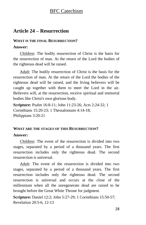# **Article 24 – Resurrection**

## **WHAT IS THE FINAL RESURRECTION?**

## **Answer:**

Children: The bodily resurrection of Christ is the basis for the resurrection of man. At the return of the Lord the bodies of the righteous dead will be raised.

Adult: The bodily resurrection of Christ is the basis for the resurrection of man. At the return of the Lord the bodies of the righteous dead will be raised, and the living believers will be caught up together with them to meet the Lord in the air. Believers will, at the resurrection, receive spiritual and immortal bodies like Christ's own glorious body.

**Scripture:** Psalm 16:8-11; John 11:23-26; Acts 2:24-32; 1 Corinthians 15:20-23; 1 Thessalonians 4:14-18; Philippians 3:20-21

## **WHAT ARE THE STAGES OF THIS RESURRECTION?**

## **Answer:**

Children: The event of the resurrection is divided into two stages, separated by a period of a thousand years. The first resurrection includes only the righteous dead. The second resurrection is universal.

Adult: The event of the resurrection is divided into two stages, separated by a period of a thousand years. The first resurrection includes only the righteous dead. The second resurrection is universal and occurs at the close of the millennium when all the unregenerate dead are raised to be brought before the Great White Throne for judgment.

**Scripture:** Daniel 12:2; John 5:27-29; 1 Corinthians 15:50-57; Revelation 20:5-6, 12-13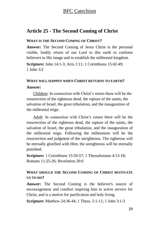## **Article 25 - The Second Coming of Christ**

#### **WHAT IS THE SECOND COMING OF CHRIST?**

**Answer:** The Second Coming of Jesus Christ is the personal visible, bodily return of our Lord to this earth to conform believers to His image and to establish the millennial kingdom.

**Scripture:** John 14:1-3; Acts 1:11; 1 Corinthians 15:42-49; 1 John 3:2

## **WHAT WILL HAPPEN WHEN CHRIST RETURNS TO EARTH? Answer:**

Children: In connection with Christ's return there will be the resurrection of the righteous dead, the rapture of the saints, the salvation of Israel, the great tribulation, and the inauguration of the millennial reign.

Adult: In connection with Christ's return there will be the resurrection of the righteous dead, the rapture of the saints, the salvation of Israel, the great tribulation, and the inauguration of the millennial reign. Following the millennium will be the resurrection and judgment of the unrighteous. The righteous will be eternally glorified with Him; the unrighteous will be eternally punished.

**Scripture:** 1 Corinthians 15:50-57; 1 Thessalonians 4:13-18; Romans 11:25-26; Revelation 20:6

## **WHAT SHOULD THE SECOND COMING OF CHRIST MOTIVATE US TO DO?**

Answer: The Second Coming is the believer's source of encouragement and comfort inspiring him to active service for Christ, and is a motive for purification and holy living.

**Scripture:** Matthew 24:36-44; 1 Thess. 5:1-11; 1 John 3:1-3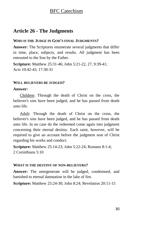# **Article 26 - The Judgments**

## **WHO IS THE JUDGE IN GOD'S FINAL JUDGMENTS?**

**Answer:** The Scriptures enumerate several judgments that differ in time, place, subjects, and results. All judgment has been entrusted to the Son by the Father.

**Scripture:** Matthew 25:31-46; John 5:21-22, 27, 9:39-41; Acts 10:42-43, 17:30-31

### **WILL BELIEVERS BE JUDGED?**

### **Answer:**

Children: Through the death of Christ on the cross, the believer's sins have been judged, and he has passed from death unto life.

Adult: Through the death of Christ on the cross, the believer's sins have been judged, and he has passed from death unto life. In no case do the redeemed come again into judgment concerning their eternal destiny. Each saint, however, will be required to give an account before the judgment seat of Christ regarding his works and conduct.

**Scripture:** Matthew 25:14-23; John 5:22-24; Romans 8:1-4; 2 Corinthians 5:10

## **WHAT IS THE DESTINY OF NON-BELIEVERS?**

**Answer:** The unregenerate will be judged, condemned, and banished to eternal damnation in the lake of fire.

**Scripture:** Matthew 25:24-30; John 8:24; Revelation 20:11-15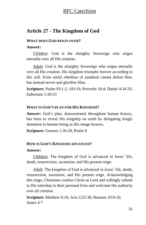## **Article 27 - The Kingdom of God**

#### **WHAT DOES GOD REIGN OVER?**

## **Answer:**

Children: God is the almighty Sovereign who reigns eternally over all His creation.

Adult: God is the almighty Sovereign who reigns eternally over all His creation. His kingdom triumphs forever according to His will. Even sinful rebellion of mankind cannot defeat Him, but instead serves and glorifies Him.

**Scripture:** Psalm 93:1-2, 103:19; Proverbs 16:4; Daniel 4:34-35; Ephesians 1:20-23

## **WHAT IS GOD'S PLAN FOR HIS KINGDOM?**

**Answer:** God's plan, demonstrated throughout human history, has been to reveal His kingship on earth by delegating kingly dominion to human being as His image bearers.

**Scripture:** Genesis 1:26-28; Psalm 8

#### **HOW IS GOD'S KINGDOM ADVANCED?**

#### **Answer:**

Children: The kingdom of God is advanced in Jesus' life, death, resurrection, ascension, and His present reign.

Adult: The kingdom of God is advanced in Jesus' life, death, resurrection, ascension, and His present reign. Acknowledging this reign, Christians confess Christ as Lord and willingly submit to His rulership in their personal lives and welcome His authority over all creation.

**Scripture:** Matthew 6:10; Acts 2:22-36; Romans 10:9-10; James 4:7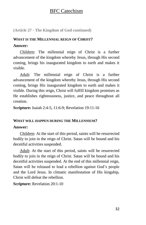**(Article 27 - The Kingdom of God continued)**

# **WHAT IS THE MILLENNIAL REIGN OF CHRIST? Answer:**

Children: The millennial reign of Christ is a further advancement of the kingdom whereby Jesus, through His second coming, brings his inaugurated kingdom to earth and makes it visible.

Adult: The millennial reign of Christ is a further advancement of the kingdom whereby Jesus, through His second coming, brings His inaugurated kingdom to earth and makes it visible. During this reign, Christ will fulfill kingdom promises as He establishes righteousness, justice, and peace throughout all creation.

**Scripture:** Isaiah 2:4-5, 11:6-9; Revelation 19:11-16

#### **WHAT WILL HAPPEN DURING THE MILLENNIUM?**

#### **Answer:**

Children: At the start of this period, saints will be resurrected bodily to join in the reign of Christ. Satan will be bound and his deceitful activities suspended.

Adult: At the start of this period, saints will be resurrected bodily to join in the reign of Christ. Satan will be bound and his deceitful activities suspended. At the end of this millennial reign, Satan will be released to lead a rebellion against God's people and the Lord Jesus. In climatic manifestation of His kingship, Christ will defeat the rebellion.

**Scripture:** Revelation 20:1-10